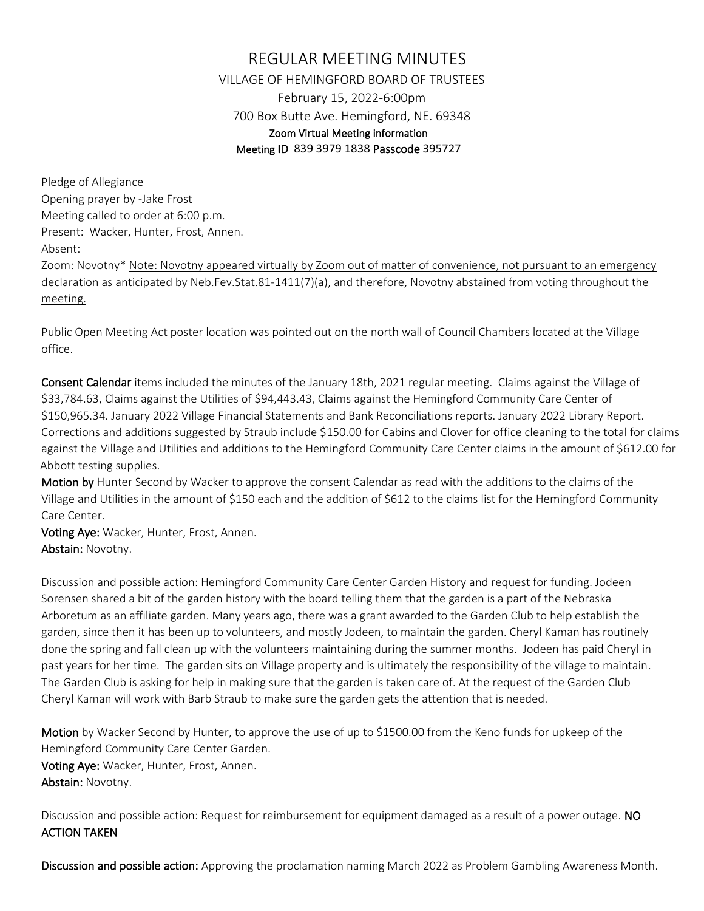## REGULAR MEETING MINUTES VILLAGE OF HEMINGFORD BOARD OF TRUSTEES February 15, 2022-6:00pm 700 Box Butte Ave. Hemingford, NE. 69348 Zoom Virtual Meeting information Meeting ID 839 3979 1838 Passcode 395727

Pledge of Allegiance Opening prayer by -Jake Frost Meeting called to order at 6:00 p.m. Present: Wacker, Hunter, Frost, Annen. Absent:

Zoom: Novotny\* Note: Novotny appeared virtually by Zoom out of matter of convenience, not pursuant to an emergency declaration as anticipated by Neb.Fev.Stat.81-1411(7)(a), and therefore, Novotny abstained from voting throughout the meeting.

Public Open Meeting Act poster location was pointed out on the north wall of Council Chambers located at the Village office.

Consent Calendar items included the minutes of the January 18th, 2021 regular meeting. Claims against the Village of \$33,784.63, Claims against the Utilities of \$94,443.43, Claims against the Hemingford Community Care Center of \$150,965.34. January 2022 Village Financial Statements and Bank Reconciliations reports. January 2022 Library Report. Corrections and additions suggested by Straub include \$150.00 for Cabins and Clover for office cleaning to the total for claims against the Village and Utilities and additions to the Hemingford Community Care Center claims in the amount of \$612.00 for Abbott testing supplies.

Motion by Hunter Second by Wacker to approve the consent Calendar as read with the additions to the claims of the Village and Utilities in the amount of \$150 each and the addition of \$612 to the claims list for the Hemingford Community Care Center.

Voting Aye: Wacker, Hunter, Frost, Annen. Abstain: Novotny.

Discussion and possible action: Hemingford Community Care Center Garden History and request for funding. Jodeen Sorensen shared a bit of the garden history with the board telling them that the garden is a part of the Nebraska Arboretum as an affiliate garden. Many years ago, there was a grant awarded to the Garden Club to help establish the garden, since then it has been up to volunteers, and mostly Jodeen, to maintain the garden. Cheryl Kaman has routinely done the spring and fall clean up with the volunteers maintaining during the summer months. Jodeen has paid Cheryl in past years for her time. The garden sits on Village property and is ultimately the responsibility of the village to maintain. The Garden Club is asking for help in making sure that the garden is taken care of. At the request of the Garden Club Cheryl Kaman will work with Barb Straub to make sure the garden gets the attention that is needed.

Motion by Wacker Second by Hunter, to approve the use of up to \$1500.00 from the Keno funds for upkeep of the Hemingford Community Care Center Garden. Voting Aye: Wacker, Hunter, Frost, Annen. Abstain: Novotny.

Discussion and possible action: Request for reimbursement for equipment damaged as a result of a power outage. NO ACTION TAKEN

Discussion and possible action: Approving the proclamation naming March 2022 as Problem Gambling Awareness Month.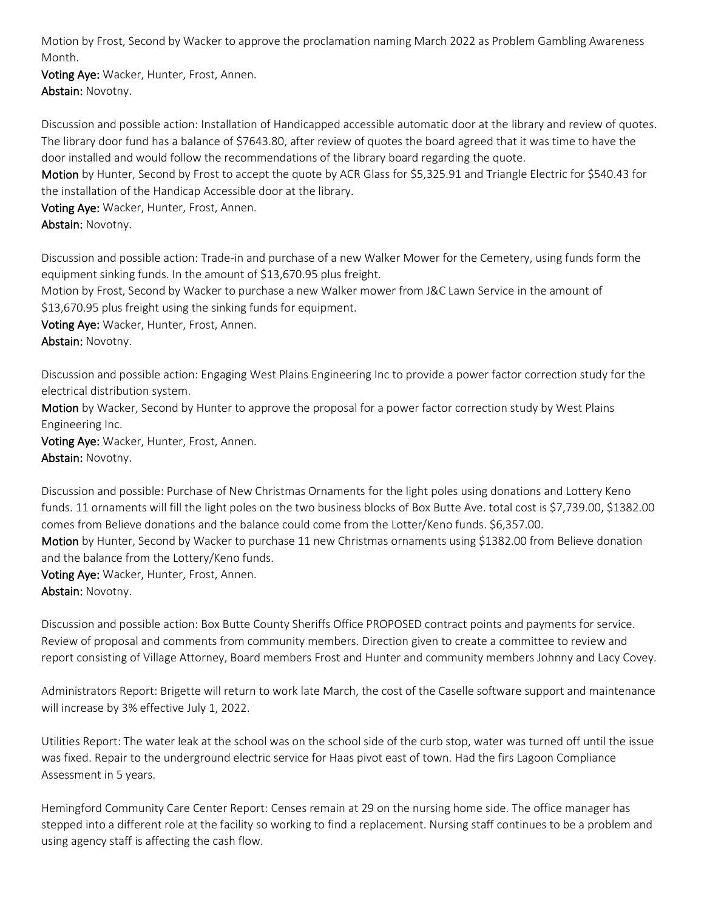Motion by Frost, Second by Wacker to approve the proclamation naming March 2022 as Problem Gambling Awareness Month.

Voting Aye: Wacker, Hunter, Frost, Annen. Abstain: Novotny.

Discussion and possible action: Installation of Handicapped accessible automatic door at the library and review of quotes. The library door fund has a balance of \$7643.80, after review of quotes the board agreed that it was time to have the door installed and would follow the recommendations of the library board regarding the quote.

Motion by Hunter, Second by Frost to accept the quote by ACR Glass for \$5,325.91 and Triangle Electric for \$540.43 for the installation of the Handicap Accessible door at the library.

Voting Aye: Wacker, Hunter, Frost, Annen. Abstain: Novotny.

Discussion and possible action: Trade-in and purchase of a new Walker Mower for the Cemetery, using funds form the equipment sinking funds. In the amount of \$13,670.95 plus freight.

Motion by Frost, Second by Wacker to purchase a new Walker mower from J&C Lawn Service in the amount of \$13,670.95 plus freight using the sinking funds for equipment.

Voting Aye: Wacker, Hunter, Frost, Annen.

Abstain: Novotny.

Discussion and possible action: Engaging West Plains Engineering Inc to provide a power factor correction study for the electrical distribution system.

Motion by Wacker, Second by Hunter to approve the proposal for a power factor correction study by West Plains Engineering Inc.

Voting Aye: Wacker, Hunter, Frost, Annen. Abstain: Novotny.

Discussion and possible: Purchase of New Christmas Ornaments for the light poles using donations and Lottery Keno funds. 11 ornaments will fill the light poles on the two business blocks of Box Butte Ave. total cost is \$7,739.00, \$1382.00 comes from Believe donations and the balance could come from the Lotter/Keno funds. \$6,357.00. Motion by Hunter, Second by Wacker to purchase 11 new Christmas ornaments using \$1382.00 from Believe donation and the balance from the Lottery/Keno funds.

Voting Aye: Wacker, Hunter, Frost, Annen. Abstain: Novotny.

Discussion and possible action: Box Butte County Sheriffs Office PROPOSED contract points and payments for service. Review of proposal and comments from community members. Direction given to create a committee to review and report consisting of Village Attorney, Board members Frost and Hunter and community members Johnny and Lacy Covey.

Administrators Report: Brigette will return to work late March, the cost of the Caselle software support and maintenance will increase by 3% effective July 1, 2022.

Utilities Report: The water leak at the school was on the school side of the curb stop, water was turned off until the issue was fixed. Repair to the underground electric service for Haas pivot east of town. Had the firs Lagoon Compliance Assessment in 5 years.

Hemingford Community Care Center Report: Censes remain at 29 on the nursing home side. The office manager has stepped into a different role at the facility so working to find a replacement. Nursing staff continues to be a problem and using agency staff is affecting the cash flow.